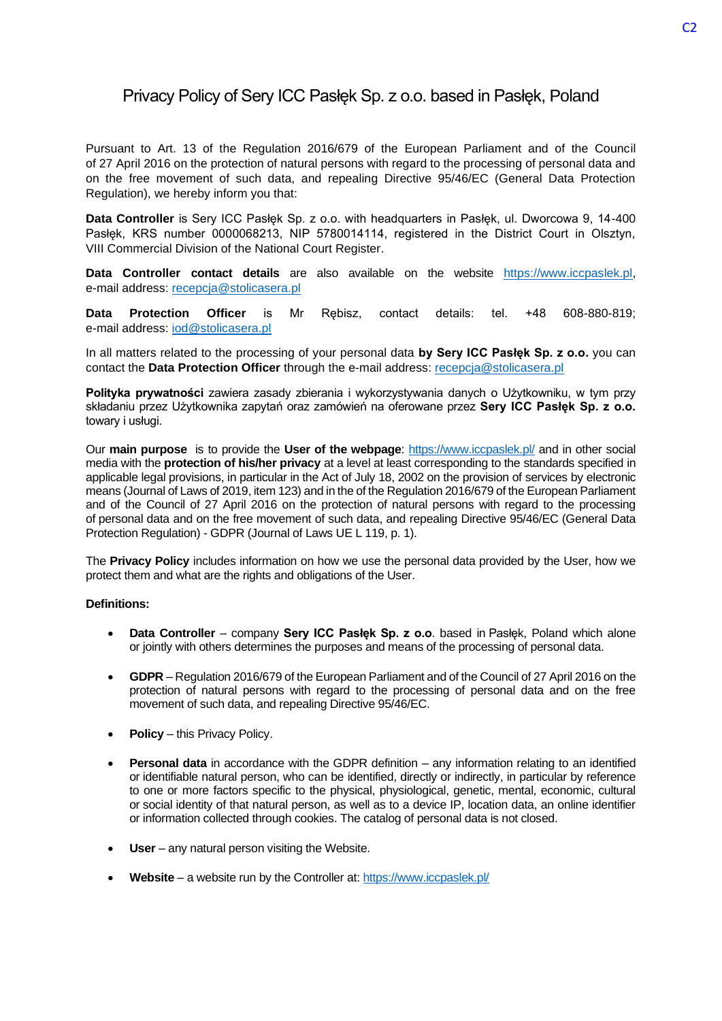# Privacy Policy of Sery ICC Pasłęk Sp. z o.o. based in Pasłęk, Poland

Pursuant to Art. 13 of the Regulation 2016/679 of the European Parliament and of the Council of 27 April 2016 on the protection of natural persons with regard to the processing of personal data and on the free movement of such data, and repealing Directive 95/46/EC (General Data Protection Regulation), we hereby inform you that:

**Data Controller** is Sery ICC Pasłęk Sp. z o.o. with headquarters in Pasłęk, ul. Dworcowa 9, 14-400 Pasłęk, KRS number 0000068213, NIP 5780014114, registered in the District Court in Olsztyn, VIII Commercial Division of the National Court Register.

**Data Controller contact details** are also available on the website [https://www.iccpaslek.pl,](https://www.iccpaslek.pl/) e-mail address: [recepcja@stolicasera.pl](mailto:recepcja@stolicasera.pl)

**Data Protection Officer** is Mr Rębisz, contact details: tel. +48 608-880-819; e-mail address: [iod@stolicasera.pl](mailto:iod@stolicasera.pl)

In all matters related to the processing of your personal data **by Sery ICC Pasłęk Sp. z o.o.** you can contact the **Data Protection Officer** through the e-mail address: [recepcja@stolicasera.pl](mailto:recepcja@stolicasera.pl)

**Polityka prywatności** zawiera zasady zbierania i wykorzystywania danych o Użytkowniku, w tym przy składaniu przez Użytkownika zapytań oraz zamówień na oferowane przez **Sery ICC Pasłęk Sp. z o.o.** towary i usługi.

Our **main purpose** is to provide the **User of the webpage**:<https://www.iccpaslek.pl/> and in other social media with the **protection of his/her privacy** at a level at least corresponding to the standards specified in applicable legal provisions, in particular in the Act of July 18, 2002 on the provision of services by electronic means (Journal of Laws of 2019, item 123) and in the of the Regulation 2016/679 of the European Parliament and of the Council of 27 April 2016 on the protection of natural persons with regard to the processing of personal data and on the free movement of such data, and repealing Directive 95/46/EC (General Data Protection Regulation) - GDPR (Journal of Laws UE L 119, p. 1).

The **Privacy Policy** includes information on how we use the personal data provided by the User, how we protect them and what are the rights and obligations of the User.

# **Definitions:**

- **Data Controller** company **Sery ICC Pasłęk Sp. z o.o**. based in Pasłęk, Poland which alone or jointly with others determines the purposes and means of the processing of personal data.
- **GDPR**  Regulation 2016/679 of the European Parliament and of the Council of 27 April 2016 on the protection of natural persons with regard to the processing of personal data and on the free movement of such data, and repealing Directive 95/46/EC.
- **Policy** this Privacy Policy.
- **Personal data** in accordance with the GDPR definition any information relating to an identified or identifiable natural person, who can be identified, directly or indirectly, in particular by reference to one or more factors specific to the physical, physiological, genetic, mental, economic, cultural or social identity of that natural person, as well as to a device IP, location data, an online identifier or information collected through cookies. The catalog of personal data is not closed.
- **User** any natural person visiting the Website.
- **Website**  a website run by the Controller at: <https://www.iccpaslek.pl/>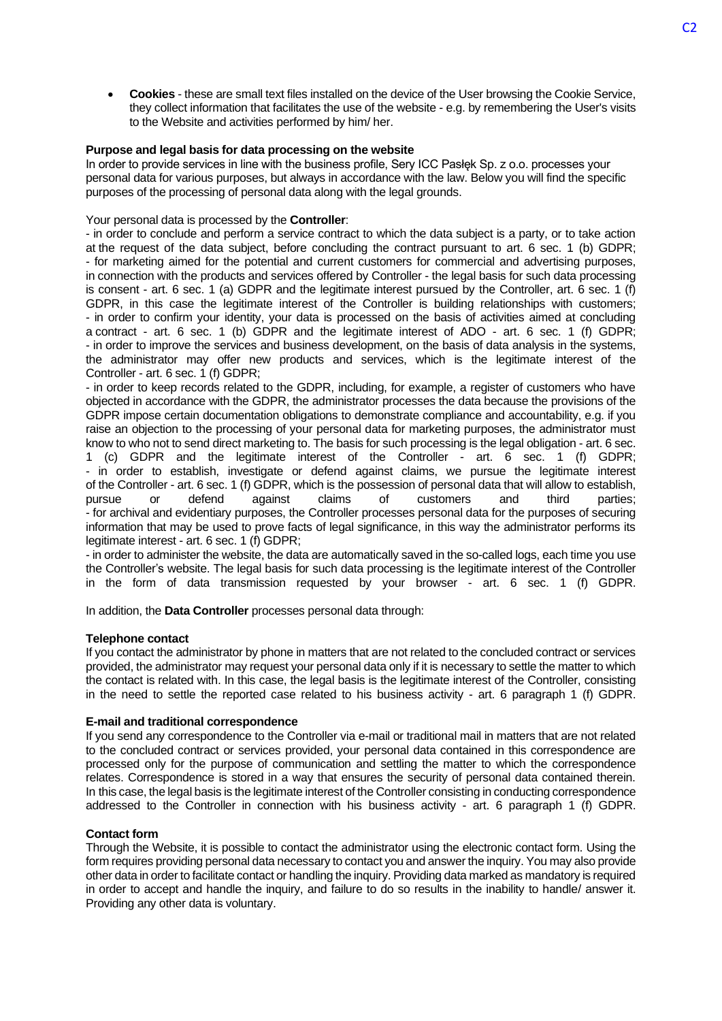• **Cookies** - these are small text files installed on the device of the User browsing the Cookie Service, they collect information that facilitates the use of the website - e.g. by remembering the User's visits to the Website and activities performed by him/ her.

## **Purpose and legal basis for data processing on the website**

In order to provide services in line with the business profile, Sery ICC Pasłęk Sp. z o.o. processes your personal data for various purposes, but always in accordance with the law. Below you will find the specific purposes of the processing of personal data along with the legal grounds.

#### Your personal data is processed by the **Controller**:

- in order to conclude and perform a service contract to which the data subject is a party, or to take action at the request of the data subject, before concluding the contract pursuant to art. 6 sec. 1 (b) GDPR; - for marketing aimed for the potential and current customers for commercial and advertising purposes, in connection with the products and services offered by Controller - the legal basis for such data processing is consent - art. 6 sec. 1 (a) GDPR and the legitimate interest pursued by the Controller, art. 6 sec. 1 (f) GDPR, in this case the legitimate interest of the Controller is building relationships with customers; - in order to confirm your identity, your data is processed on the basis of activities aimed at concluding a contract - art. 6 sec. 1 (b) GDPR and the legitimate interest of ADO - art. 6 sec. 1 (f) GDPR; - in order to improve the services and business development, on the basis of data analysis in the systems, the administrator may offer new products and services, which is the legitimate interest of the Controller - art. 6 sec. 1 (f) GDPR:

- in order to keep records related to the GDPR, including, for example, a register of customers who have objected in accordance with the GDPR, the administrator processes the data because the provisions of the GDPR impose certain documentation obligations to demonstrate compliance and accountability, e.g. if you raise an objection to the processing of your personal data for marketing purposes, the administrator must know to who not to send direct marketing to. The basis for such processing is the legal obligation - art. 6 sec. 1 (c) GDPR and the legitimate interest of the Controller - art. 6 sec. 1 (f) GDPR; - in order to establish, investigate or defend against claims, we pursue the legitimate interest of the Controller - art. 6 sec. 1 (f) GDPR, which is the possession of personal data that will allow to establish, pursue or defend against claims of customers and third parties; - for archival and evidentiary purposes, the Controller processes personal data for the purposes of securing information that may be used to prove facts of legal significance, in this way the administrator performs its legitimate interest - art. 6 sec. 1 (f) GDPR;

- in order to administer the website, the data are automatically saved in the so-called logs, each time you use the Controller's website. The legal basis for such data processing is the legitimate interest of the Controller in the form of data transmission requested by your browser - art. 6 sec. 1 (f) GDPR.

In addition, the **Data Controller** processes personal data through:

#### **Telephone contact**

If you contact the administrator by phone in matters that are not related to the concluded contract or services provided, the administrator may request your personal data only if it is necessary to settle the matter to which the contact is related with. In this case, the legal basis is the legitimate interest of the Controller, consisting in the need to settle the reported case related to his business activity - art. 6 paragraph 1 (f) GDPR.

#### **E-mail and traditional correspondence**

If you send any correspondence to the Controller via e-mail or traditional mail in matters that are not related to the concluded contract or services provided, your personal data contained in this correspondence are processed only for the purpose of communication and settling the matter to which the correspondence relates. Correspondence is stored in a way that ensures the security of personal data contained therein. In this case, the legal basis is the legitimate interest of the Controller consisting in conducting correspondence addressed to the Controller in connection with his business activity - art. 6 paragraph 1 (f) GDPR.

## **Contact form**

Through the Website, it is possible to contact the administrator using the electronic contact form. Using the form requires providing personal data necessary to contact you and answer the inquiry. You may also provide other data in order to facilitate contact or handling the inquiry. Providing data marked as mandatory is required in order to accept and handle the inquiry, and failure to do so results in the inability to handle/ answer it. Providing any other data is voluntary.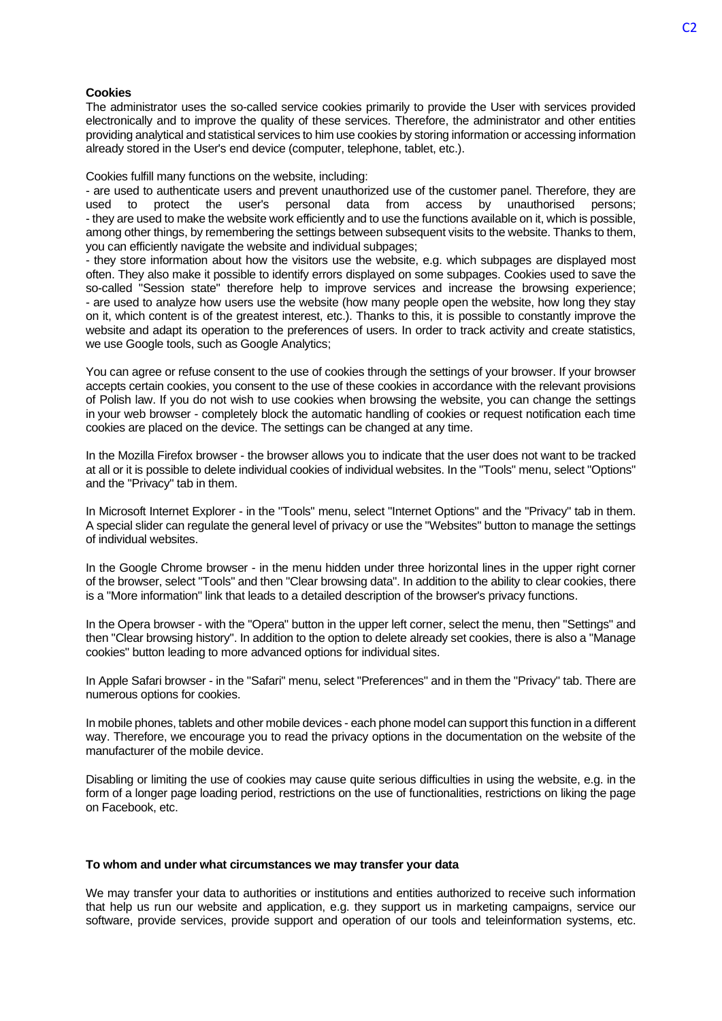#### **Cookies**

The administrator uses the so-called service cookies primarily to provide the User with services provided electronically and to improve the quality of these services. Therefore, the administrator and other entities providing analytical and statistical services to him use cookies by storing information or accessing information already stored in the User's end device (computer, telephone, tablet, etc.).

Cookies fulfill many functions on the website, including:

- are used to authenticate users and prevent unauthorized use of the customer panel. Therefore, they are used to protect the user's personal data from access by unauthorised persons; - they are used to make the website work efficiently and to use the functions available on it, which is possible, among other things, by remembering the settings between subsequent visits to the website. Thanks to them, you can efficiently navigate the website and individual subpages;

- they store information about how the visitors use the website, e.g. which subpages are displayed most often. They also make it possible to identify errors displayed on some subpages. Cookies used to save the so-called "Session state" therefore help to improve services and increase the browsing experience; - are used to analyze how users use the website (how many people open the website, how long they stay on it, which content is of the greatest interest, etc.). Thanks to this, it is possible to constantly improve the website and adapt its operation to the preferences of users. In order to track activity and create statistics, we use Google tools, such as Google Analytics;

You can agree or refuse consent to the use of cookies through the settings of your browser. If your browser accepts certain cookies, you consent to the use of these cookies in accordance with the relevant provisions of Polish law. If you do not wish to use cookies when browsing the website, you can change the settings in your web browser - completely block the automatic handling of cookies or request notification each time cookies are placed on the device. The settings can be changed at any time.

In the Mozilla Firefox browser - the browser allows you to indicate that the user does not want to be tracked at all or it is possible to delete individual cookies of individual websites. In the "Tools" menu, select "Options" and the "Privacy" tab in them.

In Microsoft Internet Explorer - in the "Tools" menu, select "Internet Options" and the "Privacy" tab in them. A special slider can regulate the general level of privacy or use the "Websites" button to manage the settings of individual websites.

In the Google Chrome browser - in the menu hidden under three horizontal lines in the upper right corner of the browser, select "Tools" and then "Clear browsing data". In addition to the ability to clear cookies, there is a "More information" link that leads to a detailed description of the browser's privacy functions.

In the Opera browser - with the "Opera" button in the upper left corner, select the menu, then "Settings" and then "Clear browsing history". In addition to the option to delete already set cookies, there is also a "Manage cookies" button leading to more advanced options for individual sites.

In Apple Safari browser - in the "Safari" menu, select "Preferences" and in them the "Privacy" tab. There are numerous options for cookies.

In mobile phones, tablets and other mobile devices - each phone model can support this function in a different way. Therefore, we encourage you to read the privacy options in the documentation on the website of the manufacturer of the mobile device.

Disabling or limiting the use of cookies may cause quite serious difficulties in using the website, e.g. in the form of a longer page loading period, restrictions on the use of functionalities, restrictions on liking the page on Facebook, etc.

#### **To whom and under what circumstances we may transfer your data**

We may transfer your data to authorities or institutions and entities authorized to receive such information that help us run our website and application, e.g. they support us in marketing campaigns, service our software, provide services, provide support and operation of our tools and teleinformation systems, etc.